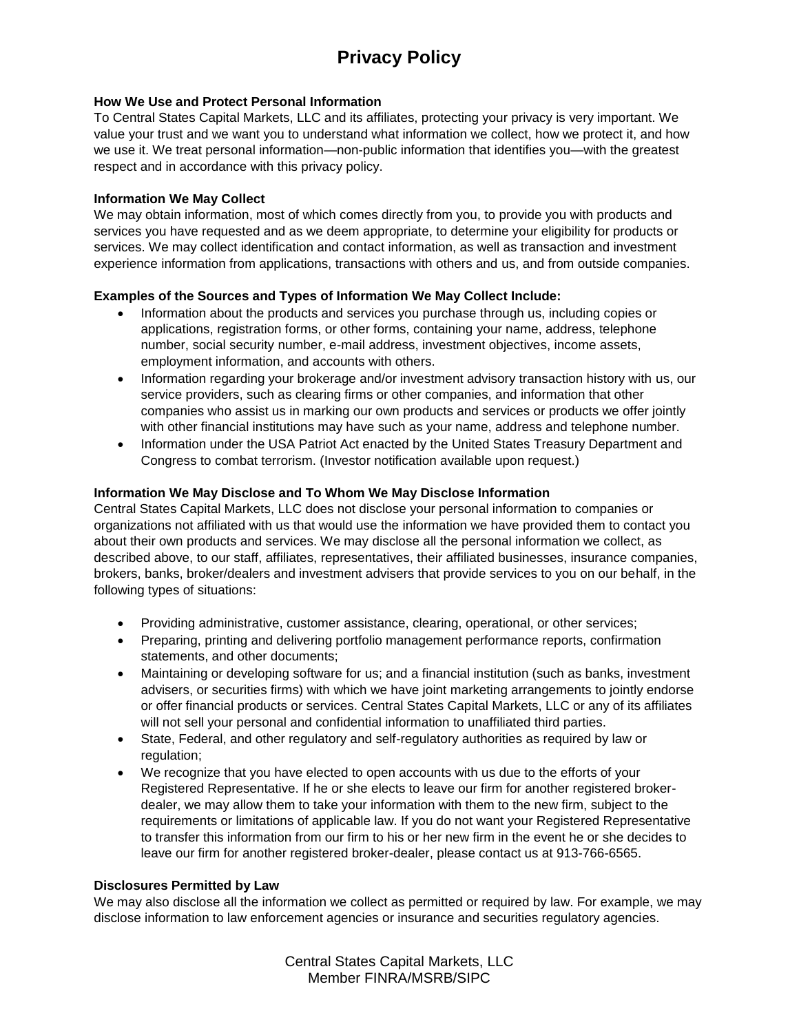# **Privacy Policy**

## **How We Use and Protect Personal Information**

To Central States Capital Markets, LLC and its affiliates, protecting your privacy is very important. We value your trust and we want you to understand what information we collect, how we protect it, and how we use it. We treat personal information—non-public information that identifies you—with the greatest respect and in accordance with this privacy policy.

#### **Information We May Collect**

We may obtain information, most of which comes directly from you, to provide you with products and services you have requested and as we deem appropriate, to determine your eligibility for products or services. We may collect identification and contact information, as well as transaction and investment experience information from applications, transactions with others and us, and from outside companies.

## **Examples of the Sources and Types of Information We May Collect Include:**

- Information about the products and services you purchase through us, including copies or applications, registration forms, or other forms, containing your name, address, telephone number, social security number, e-mail address, investment objectives, income assets, employment information, and accounts with others.
- Information regarding your brokerage and/or investment advisory transaction history with us, our service providers, such as clearing firms or other companies, and information that other companies who assist us in marking our own products and services or products we offer jointly with other financial institutions may have such as your name, address and telephone number.
- Information under the USA Patriot Act enacted by the United States Treasury Department and Congress to combat terrorism. (Investor notification available upon request.)

## **Information We May Disclose and To Whom We May Disclose Information**

Central States Capital Markets, LLC does not disclose your personal information to companies or organizations not affiliated with us that would use the information we have provided them to contact you about their own products and services. We may disclose all the personal information we collect, as described above, to our staff, affiliates, representatives, their affiliated businesses, insurance companies, brokers, banks, broker/dealers and investment advisers that provide services to you on our behalf, in the following types of situations:

- Providing administrative, customer assistance, clearing, operational, or other services;
- Preparing, printing and delivering portfolio management performance reports, confirmation statements, and other documents;
- Maintaining or developing software for us; and a financial institution (such as banks, investment advisers, or securities firms) with which we have joint marketing arrangements to jointly endorse or offer financial products or services. Central States Capital Markets, LLC or any of its affiliates will not sell your personal and confidential information to unaffiliated third parties.
- State, Federal, and other regulatory and self-regulatory authorities as required by law or regulation:
- We recognize that you have elected to open accounts with us due to the efforts of your Registered Representative. If he or she elects to leave our firm for another registered brokerdealer, we may allow them to take your information with them to the new firm, subject to the requirements or limitations of applicable law. If you do not want your Registered Representative to transfer this information from our firm to his or her new firm in the event he or she decides to leave our firm for another registered broker-dealer, please contact us at 913-766-6565.

#### **Disclosures Permitted by Law**

We may also disclose all the information we collect as permitted or required by law. For example, we may disclose information to law enforcement agencies or insurance and securities regulatory agencies.

> Central States Capital Markets, LLC Member FINRA/MSRB/SIPC